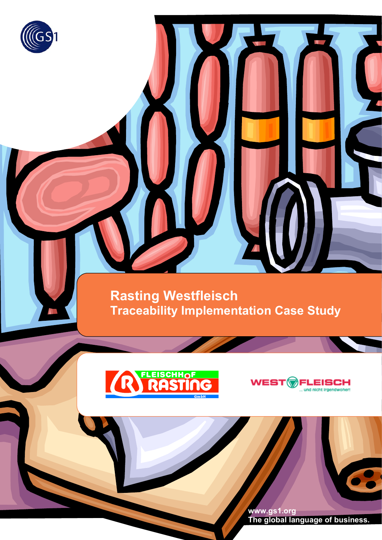

**The global language of business.**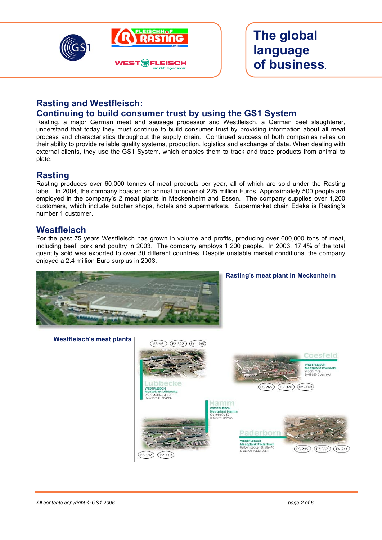



## **Rasting and Westfleisch:**

### **Continuing to build consumer trust by using the GS1 System**

Rasting, a major German meat and sausage processor and Westfleisch, a German beef slaughterer, understand that today they must continue to build consumer trust by providing information about all meat process and characteristics throughout the supply chain. Continued success of both companies relies on their ability to provide reliable quality systems, production, logistics and exchange of data. When dealing with external clients, they use the GS1 System, which enables them to track and trace products from animal to plate.

## **Rasting**

Rasting produces over 60,000 tonnes of meat products per year, all of which are sold under the Rasting label. In 2004, the company boasted an annual turnover of 225 million Euros. Approximately 500 people are employed in the company's 2 meat plants in Meckenheim and Essen. The company supplies over 1,200 customers, which include butcher shops, hotels and supermarkets. Supermarket chain Edeka is Rasting's number 1 customer.

## **Westfleisch**

For the past 75 years Westfleisch has grown in volume and profits, producing over 600,000 tons of meat, including beef, pork and poultry in 2003. The company employs 1,200 people. In 2003, 17.4% of the total quantity sold was exported to over 30 different countries. Despite unstable market conditions, the company enjoyed a 2.4 million Euro surplus in 2003.



**Rasting's meat plant in Meckenheim**

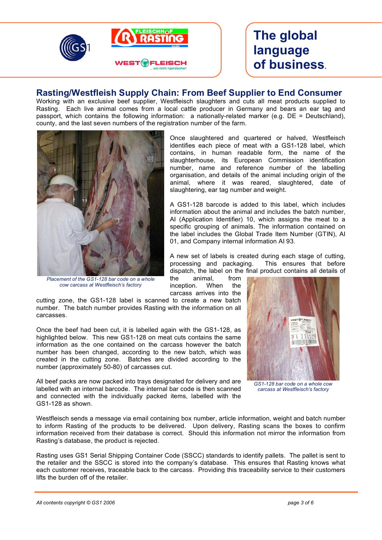



# **The global language of business.**

## **Rasting/Westfleish Supply Chain: From Beef Supplier to End Consumer**

Working with an exclusive beef supplier, Westfleisch slaughters and cuts all meat products supplied to Rasting. Each live animal comes from a local cattle producer in Germany and bears an ear tag and passport, which contains the following information: a nationally-related marker (e.g. DE = Deutschland), county, and the last seven numbers of the registration number of the farm.



*Placement of the GS1-128 bar code on a whole cow carcass at Westfleisch's factory*

Once slaughtered and quartered or halved, Westfleisch identifies each piece of meat with a GS1-128 label, which contains, in human readable form, the name of the slaughterhouse, its European Commission identification number, name and reference number of the labelling organisation, and details of the animal including origin of the animal, where it was reared, slaughtered, date of slaughtering, ear tag number and weight.

A GS1-128 barcode is added to this label, which includes information about the animal and includes the batch number, AI (Application Identifier) 10, which assigns the meat to a specific grouping of animals. The information contained on the label includes the Global Trade Item Number (GTIN), AI 01, and Company internal information AI 93.

A new set of labels is created during each stage of cutting, processing and packaging. This ensures that before dispatch, the label on the final product contains all details of

the animal, from<br>inception. When the inception. carcass arrives into the

cutting zone, the GS1-128 label is scanned to create a new batch number. The batch number provides Rasting with the information on all carcasses.

Once the beef had been cut, it is labelled again with the GS1-128, as highlighted below. This new GS1-128 on meat cuts contains the same information as the one contained on the carcass however the batch number has been changed, according to the new batch, which was created in the cutting zone. Batches are divided according to the number (approximately 50-80) of carcasses cut.

All beef packs are now packed into trays designated for delivery and are labelled with an internal barcode. The internal bar code is then scanned and connected with the individually packed items, labelled with the GS1-128 as shown.



*GS1-128 bar code on a whole cow carcass at Westfleisch's factory*

Westfleisch sends a message via email containing box number, article information, weight and batch number to inform Rasting of the products to be delivered. Upon delivery, Rasting scans the boxes to confirm information received from their database is correct. Should this information not mirror the information from Rasting's database, the product is rejected.

Rasting uses GS1 Serial Shipping Container Code (SSCC) standards to identify pallets. The pallet is sent to the retailer and the SSCC is stored into the company's database. This ensures that Rasting knows what each customer receives, traceable back to the carcass. Providing this traceability service to their customers lifts the burden off of the retailer.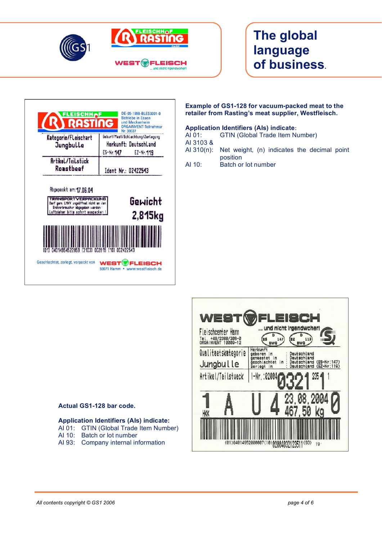



# **The global language of business.**

| EZ-Nr. 119                                                                                           |
|------------------------------------------------------------------------------------------------------|
| Ident Nr.: 02422543                                                                                  |
| Gewicht<br>Darf gern. LMKV ungeöffnet nicht an den<br>Luftzieher bitte sofort auspacken !<br>2,815kg |
|                                                                                                      |
| 002815 (10)<br>002422543                                                                             |
| RANSPNRTVFRPACKLINIA                                                                                 |

#### **Example of GS1-128 for vacuum-packed meat to the retailer from Rasting's meat supplier, Westfleisch.**

#### **Application Identifiers (AIs) indicate**:

| AI 01:    | GTIN (Global Trade Item Number)                                 |
|-----------|-----------------------------------------------------------------|
| AI 3103 & |                                                                 |
|           | $\Lambda$   310(n); $\Lambda$   Not wojaht (n) indicatos the de |

- AI 310(n): Net weight, (n) indicates the decimal point position
- AI 10: Batch or lot number

| <b>WEST</b>                                                      | CH<br>$\blacksquare$                                                                                                                      |
|------------------------------------------------------------------|-------------------------------------------------------------------------------------------------------------------------------------------|
| Fleischcenter Hamm<br>Tel. +49/2388/306-0<br>ORGAINVENT 10009-12 | und nicht irgendwoher!                                                                                                                    |
| Qualitaetskategorie<br>Jungbulle                                 | Herkunft<br>Deutschland<br>aeboren<br>in<br>(ES-Nr: 147<br>utschland<br>geschlachtet<br>in<br>(EZ-Nr:119)<br>Deutschland<br>zerlegt<br>in |
| Artikel/Teilstueck                                               | $-Nr. : 02004$<br>235                                                                                                                     |
|                                                                  | 23,08,200                                                                                                                                 |
|                                                                  | (01)04014952000007(10)02004<br>1(93)<br>19                                                                                                |

#### **Actual GS1-128 bar code.**

#### **Application Identifiers (AIs) indicate:**

- AI 01: GTIN (Global Trade Item Number)
- AI 10: Batch or lot number
- AI 93: Company internal information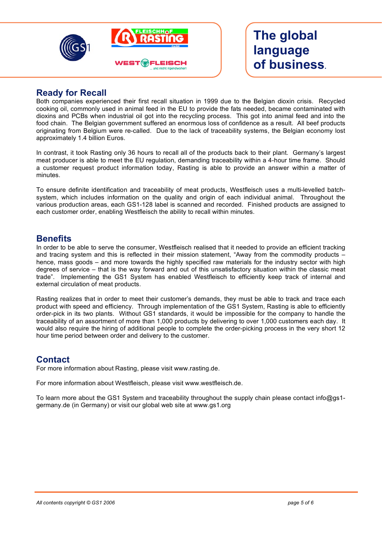



## **The global language of business.**

## **Ready for Recall**

Both companies experienced their first recall situation in 1999 due to the Belgian dioxin crisis. Recycled cooking oil, commonly used in animal feed in the EU to provide the fats needed, became contaminated with dioxins and PCBs when industrial oil got into the recycling process. This got into animal feed and into the food chain. The Belgian government suffered an enormous loss of confidence as a result. All beef products originating from Belgium were re-called. Due to the lack of traceability systems, the Belgian economy lost approximately 1.4 billion Euros.

In contrast, it took Rasting only 36 hours to recall all of the products back to their plant. Germany's largest meat producer is able to meet the EU regulation, demanding traceability within a 4-hour time frame. Should a customer request product information today, Rasting is able to provide an answer within a matter of minutes.

To ensure definite identification and traceability of meat products, Westfleisch uses a multi-levelled batchsystem, which includes information on the quality and origin of each individual animal. Throughout the various production areas, each GS1-128 label is scanned and recorded. Finished products are assigned to each customer order, enabling Westfleisch the ability to recall within minutes.

## **Benefits**

In order to be able to serve the consumer, Westfleisch realised that it needed to provide an efficient tracking and tracing system and this is reflected in their mission statement, "Away from the commodity products – hence, mass goods – and more towards the highly specified raw materials for the industry sector with high degrees of service – that is the way forward and out of this unsatisfactory situation within the classic meat trade". Implementing the GS1 System has enabled Westfleisch to efficiently keep track of internal and external circulation of meat products.

Rasting realizes that in order to meet their customer's demands, they must be able to track and trace each product with speed and efficiency. Through implementation of the GS1 System, Rasting is able to efficiently order-pick in its two plants. Without GS1 standards, it would be impossible for the company to handle the traceability of an assortment of more than 1,000 products by delivering to over 1,000 customers each day. It would also require the hiring of additional people to complete the order-picking process in the very short 12 hour time period between order and delivery to the customer.

### **Contact**

For more information about Rasting, please visit www.rasting.de.

For more information about Westfleisch, please visit www.westfleisch.de.

To learn more about the GS1 System and traceability throughout the supply chain please contact info@gs1 germany.de (in Germany) or visit our global web site at www.gs1.org